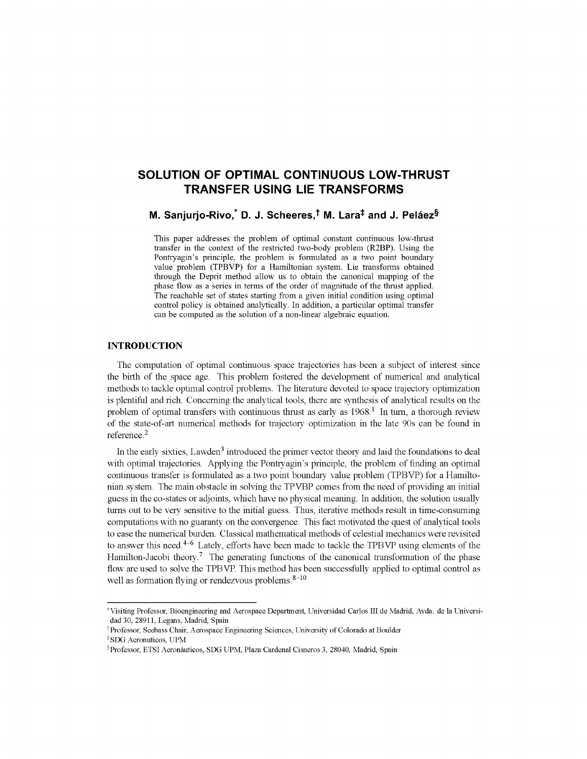# **SOLUTION OF OPTIMAL CONTINUOUS LOW-THRUST TRANSFER USING LIE TRANSFORMS**

M. Sanjurjo-Rivo, $\degree$  D. J. Scheeres, $\degree$  M. Lara $\overset{\centerdot}{\phantom{\rule{1.5cm}{0.5cm}\,}}$  and J. Peláez $\degree$ 

This paper addresses the problem of optimal constant continuous low-thrust transfer in the context of the restricted two-body problem (R2BP). Using the Pontryagin's principle, the problem is formulated as a two point boundary value problem (TPBVP) for a Hamiltonian system. Lie transforms obtained through the Deprit method allow us to obtain the canonical mapping of the phase flow as a series in terms of the order of magnitude of the thrust applied. The reachable set of states starting from a given initial condition using optimal control policy is obtained analytically. In addition, a particular optimal transfer can be computed as the solution of a non-linear algebraic equation.

## **INTRODUCTION**

The computation of optimal continuous space trajectories has been a subject of interest since the birth of the space age. This problem fostered the development of numerical and analytical methods to tackle optimal control problems. The literature devoted to space trajectory optimization is plentiful and rich. Concerning the analytical tools, there are synthesis of analytical results on the problem of optimal transfers with continuous thrust as early as  $1968$ .<sup>1</sup> In turn, a thorough review of the state-of-art numerical methods for trajectory optimization in the late 90s can be found in reference.<sup>2</sup>

In the early sixties, Lawden<sup>3</sup> introduced the primer vector theory and laid the foundations to deal with optimal trajectories. Applying the Pontryagin's principle, the problem of finding an optimal continuous transfer is formulated as a two point boundary value problem (TPBVP) for a Hamiltonian system. The main obstacle in solving the TPVBP comes from the need of providing an initial guess in the co-states or adjoints, which have no physical meaning. In addition, the solution usually turns out to be very sensitive to the initial guess. Thus, iterative methods result in time-consuming computations with no guaranty on the convergence. This fact motivated the quest of analytical tools to ease the numerical burden. Classical mathematical methods of celestial mechanics were revisited to answer this need.<sup>4–6</sup> Lately, efforts have been made to tackle the TPBVP using elements of the Hamilton-Jacobi theory.<sup>7</sup> The generating functions of the canonical transformation of the phase flow are used to solve the TPBVP. This method has been successfully applied to optimal control as well as formation flying or rendezvous problems.  $8-10$ 

<sup>\*</sup> Visiting Professor, Bioengineering and Aerospace Department, Universidad Carlos III de Madrid, Avda. de la Universidad 30, 28911, Legans, Madrid, Spain

t Professor, Seebass Chair, Aerospace Engineering Sciences, University of Colorado at Boulder

<sup>\*</sup>SDG Aeronuticos, UPM

<sup>§</sup> Professor, ETSI Aeronauticos, SDG UPM, Plaza Cardenal Cisneros 3, 28040, Madrid, Spain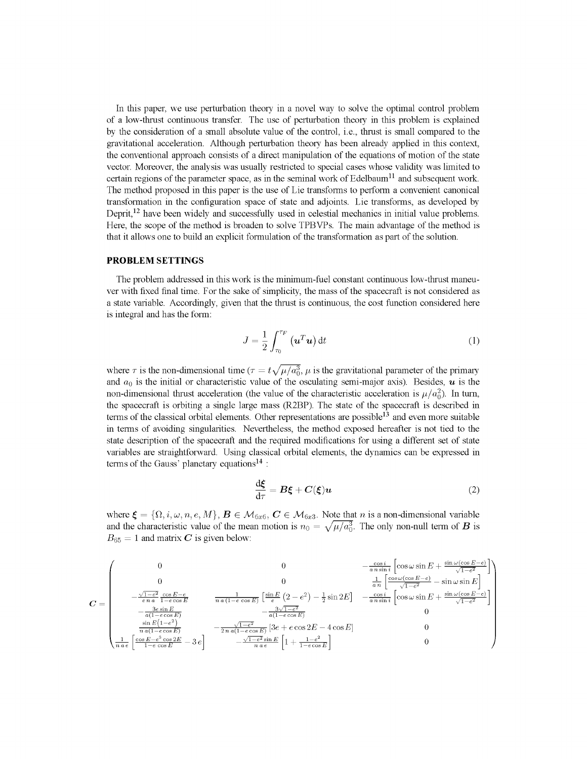In this paper, we use perturbation theory in a novel way to solve the optimal control problem of a low-thrust continuous transfer. The use of perturbation theory in this problem is explained by the consideration of a small absolute value of the control, i.e., thrust is small compared to the gravitational acceleration. Although perturbation theory has been already applied in this context, the conventional approach consists of a direct manipulation of the equations of motion of the state vector. Moreover, the analysis was usually restricted to special cases whose validity was limited to certain regions of the parameter space, as in the seminal work of Edelbaum<sup>11</sup> and subsequent work. The method proposed in this paper is the use of Lie transforms to perform a convenient canonical transformation in the configuration space of state and adjoints. Lie transforms, as developed by Deprit,<sup>12</sup> have been widely and successfully used in celestial mechanics in initial value problems. Here, the scope of the method is broaden to solve TPBVPs. The main advantage of the method is that it allows one to build an explicit formulation of the transformation as part of the solution.

#### **PROBLEM SETTINGS**

The problem addressed in this work is the minimum-fuel constant continuous low-thrust maneuver with fixed final time. For the sake of simplicity, the mass of the spacecraft is not considered as a state variable. Accordingly, given that the thrust is continuous, the cost function considered here is integral and has the form:

$$
J = \frac{1}{2} \int_{\tau_0}^{\tau_F} \left( \mathbf{u}^T \mathbf{u} \right) dt \tag{1}
$$

where  $\tau$  is the non-dimensional time ( $\tau = t\sqrt{\mu/a_0^3}$ ,  $\mu$  is the gravitational parameter of the primary and  $a_0$  is the initial or characteristic value of the osculating semi-major axis). Besides,  $\boldsymbol{u}$  is the non-dimensional thrust acceleration (the value of the characteristic acceleration is  $\mu/a_0^2$ ). In turn, the spacecraft is orbiting a single large mass (R2BP). The state of the spacecraft is described in terms of the classical orbital elements. Other representations are possible<sup>13</sup> and even more suitable in terms of avoiding singularities. Nevertheless, the method exposed hereafter is not tied to the state description of the spacecraft and the required modifications for using a different set of state variables are straightforward. Using classical orbital elements, the dynamics can be expressed in terms of the Gauss' planetary equations<sup>14</sup> :

$$
\frac{\mathrm{d}\xi}{\mathrm{d}\tau} = B\xi + C(\xi)u\tag{2}
$$

where  $\xi = {\Omega, i, \omega, n, e, M}$ ,  $B \in M_{6x6}, C \in M_{6x3}$ . Note that *n* is a non-dimensional variable and the characteristic value of the mean motion is  $n_0 = \sqrt{\mu/a_0^3}$ . The only non-null term of **B** is  $B_{65} = 1$  and matrix C is given below:

$$
C = \begin{pmatrix}\n0 & 0 & -\frac{\cos i}{a \, n \sin i} \left[ \cos \omega \sin E + \frac{\sin \omega (\cos E - e)}{\sqrt{1 - e^2}} \right] \\
0 & 0 & \frac{1}{a \, n} \left[ \frac{\cos \omega (\cos E - e)}{\sqrt{1 - e^2}} - \sin \omega \sin E \right] \\
-\frac{\sqrt{1 - e^2}}{e \, n a} \frac{\cos E - e}{1 - e \cos E} & \frac{1}{n a (1 - e \cos E)} \left[ \frac{\sin E}{e} \left( 2 - e^2 \right) - \frac{1}{2} \sin 2E \right] & -\frac{\cos i}{a \, n \sin i} \left[ \cos \omega \sin E + \frac{\sin \omega (\cos E - e)}{\sqrt{1 - e^2}} \right] \\
-\frac{3 e \sin E}{a (1 - e \cos E)} & -\frac{3 \sqrt{1 - e^2}}{a (1 - e \cos E)} & 0 \\
\frac{\sin E (1 - e^2)}{\sin E (1 - e \cos E)} & -\frac{\sqrt{1 - e^2}}{2 n a (1 - e \cos E)} \left[ 3e + e \cos 2E - 4 \cos E \right] & 0 \\
\frac{1}{n a e} \left[ \frac{\cos (-e^2 \cos 2E)}{1 - e \cos E} - 3e \right] & -\frac{\sqrt{1 - e^2}}{n a e} \left[ 1 + \frac{1 - e^2}{1 - e \cos E} \right] & 0\n\end{pmatrix}
$$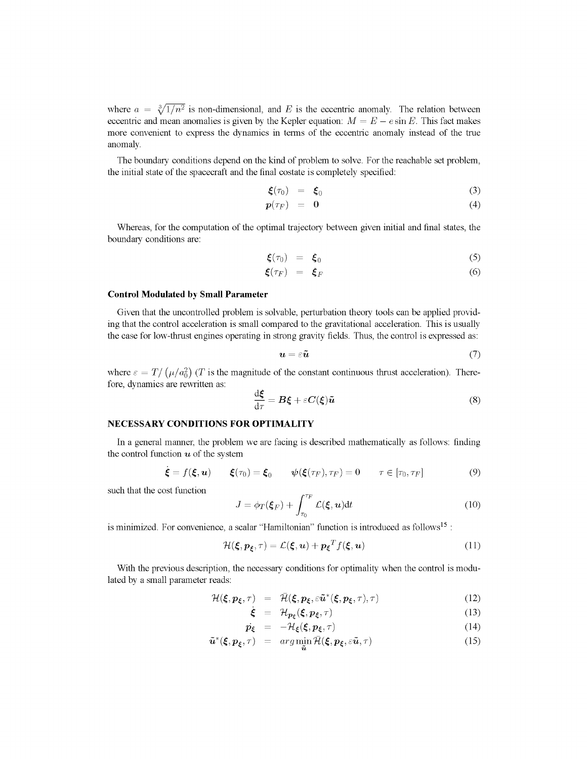where  $a = \sqrt[3]{1/n^2}$  is non-dimensional, and *E* is the eccentric anomaly. The relation between eccentric and mean anomalies is given by the Kepler equation:  $M = E - e \sin E$ . This fact makes more convenient to express the dynamics in terms of the eccentric anomaly instead of the true anomaly.

The boundary conditions depend on the kind of problem to solve. For the reachable set problem, the initial state of the spacecraft and the final costate is completely specified:

$$
\boldsymbol{\xi}(\tau_0) = \boldsymbol{\xi}_0 \tag{3}
$$

$$
p(\tau_F) = 0 \tag{4}
$$

Whereas, for the computation of the optimal trajectory between given initial and final states, the boundary conditions are:

$$
\boldsymbol{\xi}(\tau_0) = \boldsymbol{\xi}_0 \tag{5}
$$

$$
\boldsymbol{\xi}(\tau_F) = \boldsymbol{\xi}_F \tag{6}
$$

#### **Control Modulated by Small Parameter**

Given that the uncontrolled problem is solvable, perturbation theory tools can be applied providing that the control acceleration is small compared to the gravitational acceleration. This is usually the case for low-thrust engines operating in strong gravity fields. Thus, the control is expressed as:

$$
\mathbf{u} = \varepsilon \tilde{\mathbf{u}} \tag{7}
$$

where  $\varepsilon = T/(\mu/a_0^2)$  (*T* is the magnitude of the constant continuous thrust acceleration). Therefore, dynamics are rewritten as:

$$
\frac{\mathrm{d}\xi}{\mathrm{d}\tau} = B\xi + \varepsilon C(\xi)\tilde{u}
$$
 (8)

## **NECESSARY CONDITIONS FOR OPTIMALITY**

In a general manner, the problem we are facing is described mathematically as follows: finding the control function  $u$  of the system

$$
\dot{\boldsymbol{\xi}} = f(\boldsymbol{\xi}, \boldsymbol{u}) \qquad \boldsymbol{\xi}(\tau_0) = \boldsymbol{\xi}_0 \qquad \boldsymbol{\psi}(\boldsymbol{\xi}(\tau_F), \tau_F) = 0 \qquad \tau \in [\tau_0, \tau_F] \tag{9}
$$

such that the cost function

$$
J = \phi_T(\boldsymbol{\xi}_F) + \int_{\tau_0}^{\tau_F} \mathcal{L}(\boldsymbol{\xi}, \boldsymbol{u}) dt
$$
 (10)

is minimized. For convenience, a scalar "Hamiltonian" function is introduced as follows<sup>15</sup>:

$$
\mathcal{H}(\xi, \mathbf{p}_{\xi}, \tau) = \mathcal{L}(\xi, \mathbf{u}) + \mathbf{p}_{\xi}^{T} f(\xi, \mathbf{u}) \tag{11}
$$

With the previous description, the necessary conditions for optimality when the control is modulated by a small parameter reads:

$$
\mathcal{H}(\xi, p_{\xi}, \tau) = \overline{\mathcal{H}}(\xi, p_{\xi}, \varepsilon \tilde{\boldsymbol{u}}^*(\xi, p_{\xi}, \tau), \tau) \tag{12}
$$

$$
\dot{\xi} = \mathcal{H}_{p_{\xi}}(\xi, p_{\xi}, \tau) \tag{13}
$$

$$
\dot{p}_{\xi} = -\mathcal{H}_{\xi}(\xi, p_{\xi}, \tau) \tag{14}
$$

$$
\tilde{\boldsymbol{u}}^*(\boldsymbol{\xi}, \boldsymbol{p}_{\boldsymbol{\xi}}, \tau) = arg \min \bar{\mathcal{H}}(\boldsymbol{\xi}, \boldsymbol{p}_{\boldsymbol{\xi}}, \varepsilon \tilde{\boldsymbol{u}}, \tau) \tag{15}
$$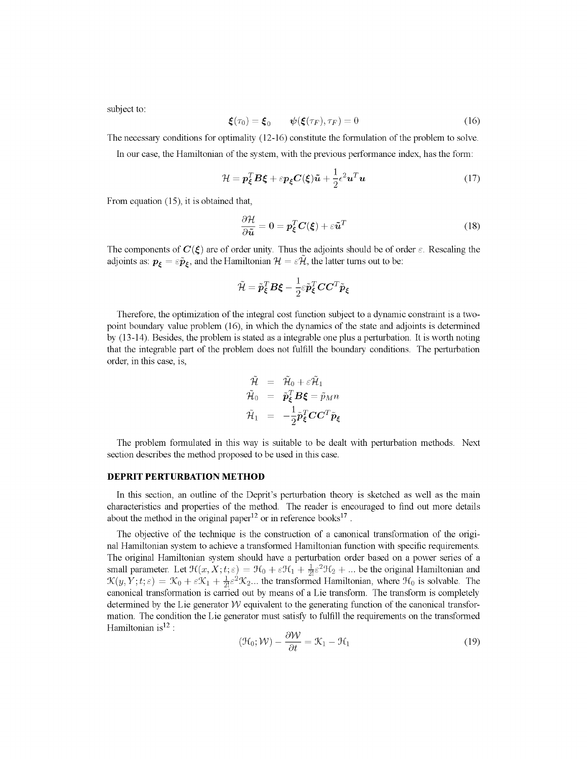subject to:

$$
\boldsymbol{\xi}(\tau_0) = \boldsymbol{\xi}_0 \qquad \boldsymbol{\psi}(\boldsymbol{\xi}(\tau_F), \tau_F) = 0 \tag{16}
$$

The necessary conditions for optimality (12-16) constitute the formulation of the problem to solve.

In our case, the Hamiltonian of the system, with the previous performance index, has the form:

$$
\mathcal{H} = \boldsymbol{p}_{\xi}^{T} \boldsymbol{B} \boldsymbol{\xi} + \varepsilon \boldsymbol{p}_{\xi} \boldsymbol{C}(\boldsymbol{\xi}) \tilde{\boldsymbol{u}} + \frac{1}{2} \varepsilon^{2} \boldsymbol{u}^{T} \boldsymbol{u}
$$
\n(17)

From equation (15), it is obtained that,

$$
\frac{\partial \mathcal{H}}{\partial \tilde{\boldsymbol{u}}} = \boldsymbol{0} = \boldsymbol{p}_{\xi}^{T} \boldsymbol{C}(\xi) + \varepsilon \tilde{\boldsymbol{u}}^{T}
$$
(18)

The components of  $C(\xi)$  are of order unity. Thus the adjoints should be of order  $\varepsilon$ . Rescaling the adjoints as:  $p_{\xi} = \varepsilon \tilde{p}_{\xi}$ , and the Hamiltonian  $\mathcal{H} = \varepsilon \mathcal{H}$ , the latter turns out to be:

$$
\tilde{\mathcal{H}} = \tilde{\boldsymbol{p}}^T_{\boldsymbol{\xi}} \boldsymbol{B} \boldsymbol{\xi} - \frac{1}{2} \varepsilon \tilde{\boldsymbol{p}}^T_{\boldsymbol{\xi}} \boldsymbol{C} \boldsymbol{C}^T \tilde{\boldsymbol{p}}_{\boldsymbol{\xi}}
$$

Therefore, the optimization of the integral cost function subject to a dynamic constraint is a twopoint boundary value problem (16), in which the dynamics of the state and adjoints is determined by (13-14). Besides, the problem is stated as a integrable one plus a perturbation. It is worth noting that the integrable part of the problem does not fulfill the boundary conditions. The perturbation order, in this case, is,

$$
\begin{array}{rcl} \mathcal{\tilde{H}} &=& \mathcal{\tilde{H}}_{0} + \varepsilon \mathcal{\tilde{H}}_{1} \\ \mathcal{\tilde{H}}_{0} &=& \mathcal{\tilde{p}}_{\bm{\xi}}^{T} \bm{B} \bm{\xi} = \tilde{p}_{M} n \\ \mathcal{\tilde{H}}_{1} &=& -\frac{1}{2} \mathcal{\tilde{p}}_{\bm{\xi}}^{T} \bm{C} \bm{C}^{T} \mathcal{\tilde{p}}_{\bm{\xi}} \end{array}
$$

The problem formulated in this way is suitable to be dealt with perturbation methods. Next section describes the method proposed to be used in this case.

### **DEPRIT PERTURBATION METHOD**

In this section, an outline of the Deprit's perturbation theory is sketched as well as the main characteristics and properties of the method. The reader is encouraged to find out more details about the method in the original paper<sup>12</sup> or in reference books<sup>17</sup>.

The objective of the technique is the construction of a canonical transformation of the original Hamiltonian system to achieve a transformed Hamiltonian function with specific requirements. The original Hamiltonian system should have a perturbation order based on a power series of a small parameter. Let  $\mathcal{H}(x, X; t; \varepsilon) = \mathcal{H}_0 + \varepsilon \mathcal{H}_1 + \frac{1}{2} \varepsilon^2 \mathcal{H}_2 + \dots$  be the original Hamiltonian and  $\mathcal{K}(y, Y; t; \varepsilon) = \mathcal{K}_0 + \varepsilon \mathcal{K}_1 + \frac{1}{2!} \varepsilon^2 \mathcal{K}_2...$  the transformed Hamiltonian, where  $\mathcal{H}_0$  is solvable. The canonical transformation is carried out by means of a Lie transform. The transform is completely determined by the Lie generator  $W$  equivalent to the generating function of the canonical transformation. The condition the Lie generator must satisfy to fulfill the requirements on the transformed Hamiltonian is $^{12}$  :

$$
(\mathcal{H}_0; \mathcal{W}) - \frac{\partial \mathcal{W}}{\partial t} = \mathcal{K}_1 - \mathcal{H}_1
$$
 (19)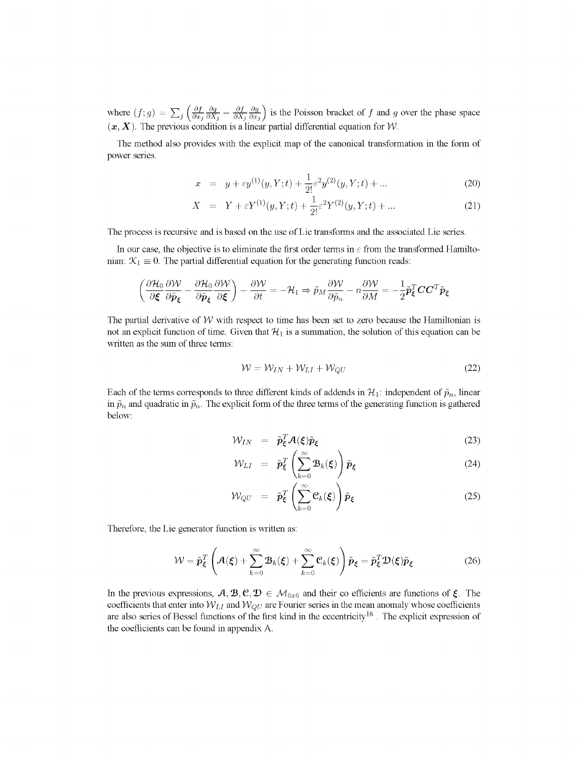where  $(f; g) = \sum_i \left( \frac{\partial f}{\partial x_i} \frac{\partial g}{\partial x_i} - \frac{\partial f}{\partial x_i} \frac{\partial g}{\partial x_i} \right)$  is the Poisson bracket of f and g over the phase space  $(x, X)$ . The previous condition is a linear partial differential equation for *W*.

The method also provides with the explicit map of the canonical transformation in the form of power series.

$$
x = y + \varepsilon y^{(1)}(y, Y; t) + \frac{1}{2!} \varepsilon^2 y^{(2)}(y, Y; t) + \dots
$$
 (20)

$$
X = Y + \varepsilon Y^{(1)}(y, Y; t) + \frac{1}{2!} \varepsilon^2 Y^{(2)}(y, Y; t) + \dots
$$
 (21)

The process is recursive and is based on the use of Lie transforms and the associated Lie series.

In our case, the objective is to eliminate the first order terms in  $\varepsilon$  from the transformed Hamiltonian:  $\mathcal{K}_1 \equiv 0$ . The partial differential equation for the generating function reads:

$$
\left(\frac{\partial \mathcal{H}_0}{\partial \pmb{\xi}}\frac{\partial \mathcal{W}}{\partial \tilde{\pmb{p}}_{\pmb{\xi}}}-\frac{\partial \mathcal{H}_0}{\partial \tilde{\pmb{p}}_{\pmb{\xi}}}\frac{\partial \mathcal{W}}{\partial \pmb{\xi}}\right)-\frac{\partial \mathcal{W}}{\partial t}=-\mathcal{H}_1\Rightarrow \tilde{p}_M\frac{\partial \mathcal{W}}{\partial \tilde{p}_n}-n\frac{\partial \mathcal{W}}{\partial M}=-\frac{1}{2}\tilde{\pmb{p}}_{\pmb{\xi}}^T\mathbf{C}\mathbf{C}^T\tilde{\pmb{p}}_{\pmb{\xi}}
$$

The partial derivative of  $W$  with respect to time has been set to zero because the Hamiltonian is not an explicit function of time. Given that  $H_1$  is a summation, the solution of this equation can be written as the sum of three terms:

$$
W = W_{IN} + W_{LI} + W_{QU} \tag{22}
$$

Each of the terms corresponds to three different kinds of addends in  $\mathcal{H}_1$ : independent of  $\tilde{p}_n$ , linear in  $\tilde{p}_n$  and quadratic in  $\tilde{p}_n$ . The explicit form of the three terms of the generating function is gathered below:

$$
\mathcal{W}_{IN} = \tilde{\boldsymbol{p}}_{\xi}^T \mathcal{A}(\xi) \tilde{\boldsymbol{p}}_{\xi}
$$
 (23)

$$
\mathcal{W}_{LI} = \tilde{\boldsymbol{p}}_{\xi}^{T} \left( \sum_{k=0}^{\infty} \boldsymbol{\mathcal{B}}_{k}(\xi) \right) \tilde{\boldsymbol{p}}_{\xi}
$$
 (24)

$$
\mathcal{W}_{QU} = \tilde{\boldsymbol{p}}_{\xi}^{T} \left( \sum_{k=0}^{\infty} \mathcal{C}_{k}(\xi) \right) \tilde{\boldsymbol{p}}_{\xi}
$$
 (25)

Therefore, the Lie generator function is written as:  $\mathcal{L}_{\text{max}}$  the Lie generator function is written as:

$$
\mathcal{W} = \tilde{\boldsymbol{p}}_{\xi}^{T} \left( \mathcal{A}(\xi) + \sum_{k=0}^{\infty} \mathcal{B}_{k}(\xi) + \sum_{k=0}^{\infty} \mathcal{C}_{k}(\xi) \right) \tilde{\boldsymbol{p}}_{\xi} = \tilde{\boldsymbol{p}}_{\xi}^{T} \mathcal{D}(\xi) \tilde{\boldsymbol{p}}_{\xi}
$$
(26)

In the previous expressions,  $A, B, C, D \in \mathcal{M}_{6x6}$  and their co efficients are functions of  $\xi$ . The coefficients that enter into  $W_{LI}$  and  $W_{QU}$  are Fourier series in the mean anomaly whose coefficients are also series of Bessel functions of the first kind in the eccentricity<sup>16</sup>. The explicit expression of the coefficients can be found in appendix A.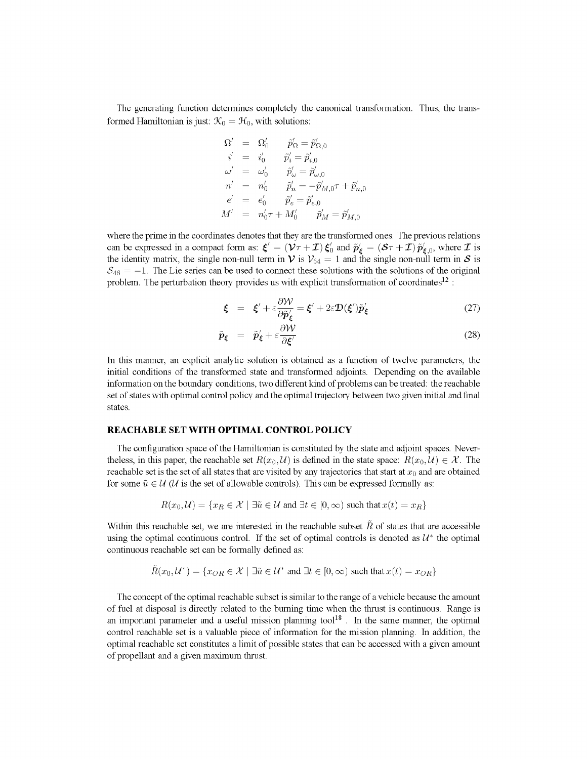The generating function determines completely the canonical transformation. Thus, the transformed Hamiltonian is just:  $\mathcal{K}_0 = \mathcal{H}_0$ , with solutions:

$$
\begin{array}{lcl} \Omega' &=& \Omega'_0 \qquad \tilde{p}'_\Omega = \tilde{p}'_{\Omega,0} \\[2mm] i' &=& i'_0 \qquad \tilde{p}'_i = \tilde{p}'_{i,0} \\[2mm] \omega' &=& \omega'_0 \qquad \tilde{p}'_\omega = \tilde{p}'_{\omega,0} \\[2mm] n' &=& n'_0 \qquad \tilde{p}'_n = -\tilde{p}'_{M,0} \tau + \tilde{p}'_{n,0} \\[2mm] e' &=& e'_0 \qquad \tilde{p}'_e = \tilde{p}'_{e,0} \\[2mm] M' &=& n'_0 \tau + M'_0 \qquad \tilde{p}'_M = \tilde{p}'_{M,0} \end{array}
$$

where the prime in the coordinates denotes that they are the transformed ones. The previous relations can be expressed in a compact form as:  $\boldsymbol{\xi}' = (\boldsymbol{\mathcal{V}} \tau + \boldsymbol{\mathcal{I}}) \boldsymbol{\xi}'_0$  and  $\boldsymbol{\tilde{p}}'_t = (\boldsymbol{\mathcal{S}} \tau + \boldsymbol{\mathcal{I}}) \boldsymbol{\tilde{p}}'_t$ , where  $\boldsymbol{\mathcal{I}}$  is the identity matrix, the single non-null term in  $\mathcal V$  is  $V_{64} = 1$  and the single non-null term in  $\mathcal S$  is  $S_{46} = -1$ . The Lie series can be used to connect these solutions with the solutions of the original problem. The perturbation theory provides us with explicit transformation of coordinates<sup>12</sup>:

$$
\boldsymbol{\xi} = \boldsymbol{\xi}' + \varepsilon \frac{\partial \mathcal{W}}{\partial \tilde{\boldsymbol{p}}_{\boldsymbol{\xi}}'} = \boldsymbol{\xi}' + 2\varepsilon \mathcal{D}(\boldsymbol{\xi}') \tilde{\boldsymbol{p}}_{\boldsymbol{\xi}}' \tag{27}
$$

$$
\tilde{p}_{\xi} = \tilde{p}'_{\xi} + \varepsilon \frac{\partial \mathcal{W}}{\partial \xi'} \tag{28}
$$

In this manner, an explicit analytic solution is obtained as a function of twelve parameters, the initial conditions of the transformed state and transformed adjoints. Depending on the available information on the boundary conditions, two different kind of problems can be treated: the reachable set of states with optimal control policy and the optimal trajectory between two given initial and final states.

#### **REACHABLE SET WITH OPTIMAL CONTROL POLICY**

The configuration space of the Hamiltonian is constituted by the state and adjoint spaces. Nevertheless, in this paper, the reachable set  $R(x_0, \mathcal{U})$  is defined in the state space:  $R(x_0, \mathcal{U}) \in \mathcal{X}$ . The reachable set is the set of all states that are visited by any trajectories that start at *XQ* and are obtained for some  $\tilde{u} \in \mathcal{U}(\mathcal{U})$  is the set of allowable controls). This can be expressed formally as:

$$
R(x_0, \mathcal{U}) = \{ x_R \in \mathcal{X} \mid \exists \tilde{u} \in \mathcal{U} \text{ and } \exists t \in [0, \infty) \text{ such that } x(t) = x_R \}
$$

Within this reachable set, we are interested in the reachable subset  $\tilde{R}$  of states that are accessible using the optimal continuous control. If the set of optimal controls is denoted as  $U^*$  the optimal continuous reachable set can be formally defined as:

$$
R(x_0, \mathcal{U}^*) = \{x_{OR} \in \mathcal{X} \mid \exists \tilde{u} \in \mathcal{U}^* \text{ and } \exists t \in [0, \infty) \text{ such that } x(t) = x_{OR}\}
$$

The concept of the optimal reachable subset is similar to the range of a vehicle because the amount of fuel at disposal is directly related to the burning time when the thrust is continuous. Range is an important parameter and a useful mission planning tool<sup>18</sup>. In the same manner, the optimal control reachable set is a valuable piece of information for the mission planning. In addition, the optimal reachable set constitutes a limit of possible states that can be accessed with a given amount of propellant and a given maximum thrust.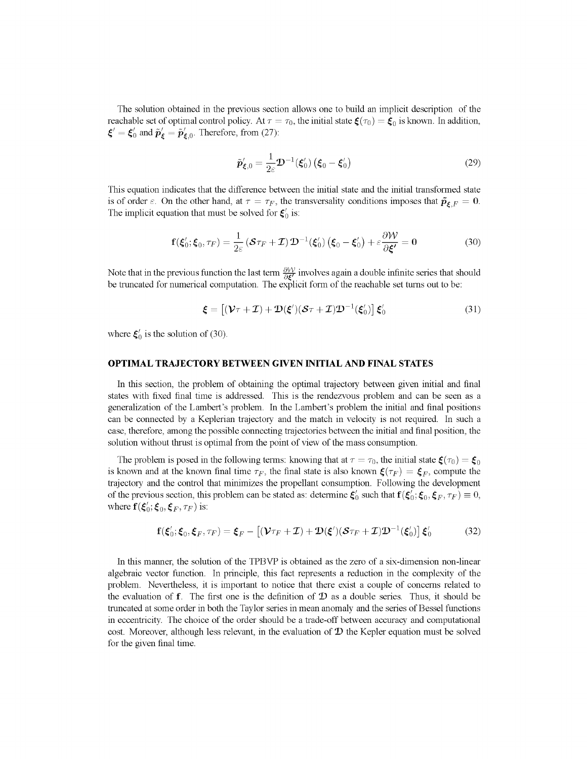The solution obtained in the previous section allows one to build an implicit description of the reachable set of optimal control policy. At  $\tau = \tau_0$ , the initial state  $\boldsymbol{\xi}(\tau_0) = \boldsymbol{\xi}_0$  is known. In addition,  $\boldsymbol{\xi}' = \boldsymbol{\xi}'_0$  and  $\tilde{\boldsymbol{p}}'_{\boldsymbol{\xi}} = \tilde{\boldsymbol{p}}'_{\boldsymbol{\xi},0}$ . Therefore, from (27):

$$
\tilde{\boldsymbol{p}}'_{\xi,0} = \frac{1}{2\varepsilon} \boldsymbol{\mathcal{D}}^{-1}(\boldsymbol{\xi}'_0) \left(\boldsymbol{\xi}_0 - \boldsymbol{\xi}'_0\right) \tag{29}
$$

This equation indicates that the difference between the initial state and the initial transformed state is of order  $\varepsilon$ . On the other hand, at  $\tau = \tau_F$ , the transversality conditions imposes that  $\tilde{\mathbf{p}}_{\xi,F} = \mathbf{0}$ . The implicit equation that must be solved for  $\xi'_{0}$  is:

$$
\mathbf{f}(\xi'_0; \xi_0, \tau_F) = \frac{1}{2\varepsilon} \left( \mathcal{S}\tau_F + \mathcal{I} \right) \mathcal{D}^{-1}(\xi'_0) \left( \xi_0 - \xi'_0 \right) + \varepsilon \frac{\partial \mathcal{W}}{\partial \xi'} = 0 \tag{30}
$$

Note that in the previous function the last term  $\frac{\partial \mathcal{W}}{\partial \xi'}$  involves again a double infinite series that should be truncated for numerical computation. The explicit form of the reachable set turns out to be:

$$
\boldsymbol{\xi} = \left[ (\boldsymbol{\mathcal{V}} \tau + \boldsymbol{\mathcal{I}}) + \boldsymbol{\mathcal{D}} (\boldsymbol{\xi}') (\boldsymbol{\mathcal{S}} \tau + \boldsymbol{\mathcal{I}}) \boldsymbol{\mathcal{D}}^{-1} (\boldsymbol{\xi}'_0) \right] \boldsymbol{\xi}'_0 \tag{31}
$$

where  $\xi'_{0}$  is the solution of (30).

# OPTIMAL TRAJECTORY BETWEEN GIVEN INITIAL AND FINAL STATES

In this section, the problem of obtaining the optimal trajectory between given initial and final states with fixed final time is addressed. This is the rendezvous problem and can be seen as a generalization of the Lambert's problem. In the Lambert's problem the initial and final positions can be connected by a Keplerian trajectory and the match in velocity is not required. In such a case, therefore, among the possible connecting trajectories between the initial and final position, the solution without thrust is optimal from the point of view of the mass consumption.

The problem is posed in the following terms: knowing that at  $\tau = \tau_0$ , the initial state  $\xi(\tau_0) = \xi_0$ is known and at the known final time  $\tau_F$ , the final state is also known  $\zeta(\tau_F) = \zeta_F$ , compute the trajectory and the control that minimizes the propellant consumption. Following the development of the previous section, this problem can be stated as: determine  $\xi'_0$  such that  $f(\xi'_0; \xi_0, \xi_F, \tau_F) \equiv 0$ , where  $\mathbf{f}(\boldsymbol{\xi}'_0;\boldsymbol{\xi}_0,\boldsymbol{\xi}_F,\tau_F)$  is:

$$
\mathbf{f}(\boldsymbol{\xi}'_0; \boldsymbol{\xi}_0, \boldsymbol{\xi}_F, \tau_F) = \boldsymbol{\xi}_F - \left[ (\boldsymbol{\mathcal{V}} \tau_F + \boldsymbol{\mathcal{I}}) + \boldsymbol{\mathcal{D}} (\boldsymbol{\xi}') (\boldsymbol{\mathcal{S}} \tau_F + \boldsymbol{\mathcal{I}}) \boldsymbol{\mathcal{D}}^{-1} (\boldsymbol{\xi}'_0) \right] \boldsymbol{\xi}'_0 \tag{32}
$$

In this manner, the solution of the TPBVP is obtained as the zero of a six-dimension non-linear algebraic vector function. In principle, this fact represents a reduction in the complexity of the problem. Nevertheless, it is important to notice that there exist a couple of concerns related to the evaluation of **f**. The first one is the definition of  $\mathcal{D}$  as a double series. Thus, it should be truncated at some order in both the Taylor series in mean anomaly and the series of Bessel functions in eccentricity. The choice of the order should be a trade-off between accuracy and computational cost. Moreover, although less relevant, in the evaluation of  $D$  the Kepler equation must be solved for the given final time.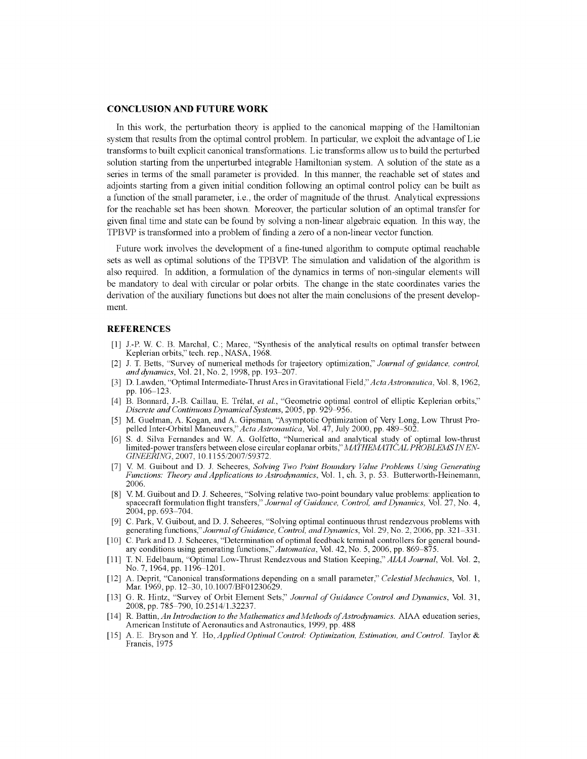#### **CONCLUSION AND FUTURE WORK**

In this work, the perturbation theory is applied to the canonical mapping of the Hamiltonian system that results from the optimal control problem. In particular, we exploit the advantage of Lie transforms to built explicit canonical transformations. Lie transforms allow us to build the perturbed solution starting from the unperturbed integrable Hamiltonian system. A solution of the state as a series in terms of the small parameter is provided. In this manner, the reachable set of states and adjoints starting from a given initial condition following an optimal control policy can be built as a function of the small parameter, i.e., the order of magnitude of the thrust. Analytical expressions for the reachable set has been shown. Moreover, the particular solution of an optimal transfer for given final time and state can be found by solving a non-linear algebraic equation. In this way, the TPBVP is transformed into a problem of finding a zero of a non-linear vector function.

Future work involves the development of a fine-tuned algorithm to compute optimal reachable sets as well as optimal solutions of the TPBVP. The simulation and validation of the algorithm is also required. In addition, a formulation of the dynamics in terms of non-singular elements will be mandatory to deal with circular or polar orbits. The change in the state coordinates varies the derivation of the auxiliary functions but does not alter the main conclusions of the present development.

#### **REFERENCES**

- [1] J.-P. W. C. B. Marchal, C; Marec, "Synthesis of the analytical results on optimal transfer between Keplerian orbits," tech. rep., NASA, 1968.
- [2] J. T. Berts, "Survey of numerical methods for trajectory optimization," *Journal of guidance, control, and dynamics,* Vol. 21, No. 2, 1998, pp. 193-207.
- [3] D. Lawden, "Optimal Intermediate-Thrust Arcs in Gravitational Field," *Acta Astronautica,* Vol. 8,1962. pp. 106-123.
- [4] B. Bonnard, J.-B. Caillau, E. Trelat, *et ah,* "Geometric optimal control of elliptic Keplerian orbits," *Discrete and Continuous Dynamical Systems,* 2005, pp. 929-956.
- [5] M. Guelman, A. Kogan, and A. Gipsman, "Asymptotic Optimization of Very Long, Low Thrust Propelled Inter-Orbital Maneuvers," *Acta Astronautica,* Vol. 47, July 2000, pp. 489-502.
- [6] S. d. Silva Fernandes and W. A. Golfetto, 'Numerical and analytical study of optimal low-thrust limited-power transfers between close circular coplanar orbits," *MATHEMATICAL PROBLEMS IN'EN-GINEERING,* 2007, 10.1155/2007/59372.
- [7] V. M. Guibout and D. J. Scheeres, *Solving Two Point Boundary Value Problems Using Generating Functions: Theory and Applications to Astrodynamics,* Vol. 1, ch. 3, p. 53. Butterworth-Heinemann. 2006.
- [8] V. M. Guibout and D. J. Scheeres, "Solving relative two-point boundary value problems: application to spacecraft formulation flight transfers," *Journal of Guidance, Control, and Dynamics,* Vol. 27, No. 4. 2004, pp. 693-704.
- [9] C. Park, V. Guibout, and D. J. Scheeres, "Solving optimal continuous thrust rendezvous problems with generating functions," *Journal of 'Guidance, Control, andDynamics,* Vol. 29, No. 2, 2006, pp. 321-331.
- [10] C. Park and D. J. Scheeres, "Determination of optimal feedback terminal controllers for general boundary conditions using generating functions,"*Automatica,* Vol. 42, No. 5, 2006, pp. 869-875.
- [11] T. N. Edelbaum, "Optimal Low-Thrust Rendezvous and Station Keeping," *AIAA Journal,* Vol. Vol. 2. No. 7, 1964, pp. 1196-1201.
- [12] A. Deprit, "Canonical transformations depending on a small parameter," *Celestial Mechanics,* Vol. 1. Mar. 1969, pp. 12-30,10.1007/BF01230629.
- [13] G. R. Hintz, "Survey of Orbit Element Sets," *Journal of Guidance Control and Dynamics,* Vol. 31. 2008, pp. 785-790, 10.2514/1.32237.
- [14] R. Battin, *An Introduction to the Mathematics and Methods of Astrodynamics.* AIAA education series, American Institute of Aeronautics and Astronautics, 1999, pp. 488
- [15] A. E. Bryson and Y. *Ho, Applied Optimal Control: Optimization, Estimation, and Control.* Taylor & Francis, 1975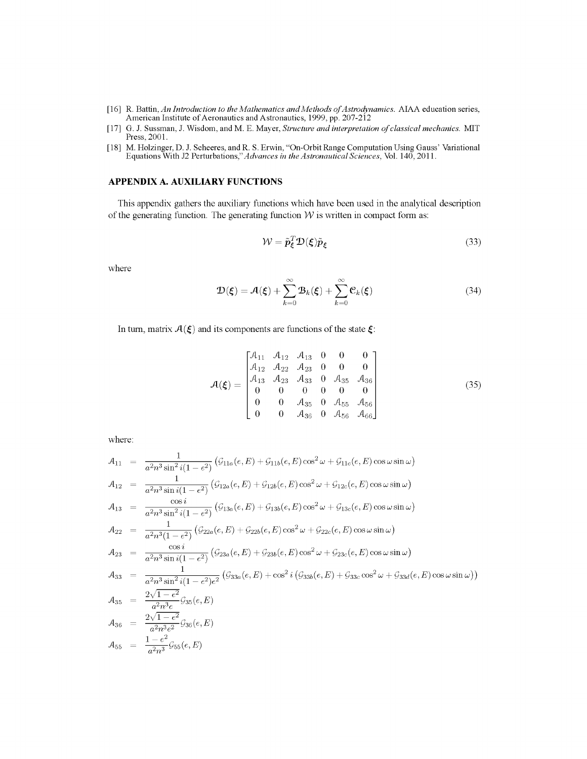- [16] R. Battin, An Introduction to the Mathematics and Methods of Astrodynamics. AIAA education series, American Institute of Aeronautics and Astronautics, 1999, pp. 207-212
- [17] G. J. Sussman, J. Wisdom, and M. E. Mayer, *Structure and interpretation of classical mechanics.* MIT Press, 2001.
- [18] M. Holzinger, D. J. Scheeres, and R. S. Erwin, "On-Orbit Range Computation Using Gauss' Variational Equation Using Gauss' Variation Using Gauss' Variation Using Gauss' Variation Using Gauss' Variation Using Gauss' Va Equations With J2 *Perturbations"Advances in theAstronauticalSciences,* Vol. 140,2011.

# **APPENDIX A. AUXILIARY FUNCTIONS**

This appendix gathers the auxiliary functions which have been used in the analytical description of the generating function. The generating function  $W$  is written in compact form as:

$$
W = \tilde{p}_{\xi}^{T} \mathcal{D}(\xi) \tilde{p}_{\xi}
$$
 (33)

where

$$
\mathcal{D}(\boldsymbol{\xi}) = \mathcal{A}(\boldsymbol{\xi}) + \sum_{k=0}^{\infty} \mathcal{B}_k(\boldsymbol{\xi}) + \sum_{k=0}^{\infty} \mathcal{C}_k(\boldsymbol{\xi})
$$
(34)

In turn, matrix  $A(\xi)$  and its components are functions of the state  $\xi$ :

$$
\mathcal{A}(\xi) = \begin{bmatrix} \mathcal{A}_{11} & \mathcal{A}_{12} & \mathcal{A}_{13} & 0 & 0 & 0 \\ \mathcal{A}_{12} & \mathcal{A}_{22} & \mathcal{A}_{23} & 0 & 0 & 0 \\ \mathcal{A}_{13} & \mathcal{A}_{23} & \mathcal{A}_{33} & 0 & \mathcal{A}_{35} & \mathcal{A}_{36} \\ 0 & 0 & 0 & 0 & 0 & 0 \\ 0 & 0 & \mathcal{A}_{35} & 0 & \mathcal{A}_{55} & \mathcal{A}_{56} \\ 0 & 0 & \mathcal{A}_{36} & 0 & \mathcal{A}_{56} & \mathcal{A}_{66} \end{bmatrix}
$$
(35)

where:

$$
A_{11} = \frac{1}{a^2n^3 \sin^2 i(1 - e^2)} (\mathcal{G}_{11a}(e, E) + \mathcal{G}_{11b}(e, E) \cos^2 \omega + \mathcal{G}_{11c}(e, E) \cos \omega \sin \omega)
$$
  
\n
$$
A_{12} = \frac{1}{a^2n^3 \sin i(1 - e^2)} (\mathcal{G}_{12a}(e, E) + \mathcal{G}_{12b}(e, E) \cos^2 \omega + \mathcal{G}_{12c}(e, E) \cos \omega \sin \omega)
$$
  
\n
$$
A_{13} = \frac{\cos i}{a^2n^3 \sin^2 i(1 - e^2)} (\mathcal{G}_{13a}(e, E) + \mathcal{G}_{13b}(e, E) \cos^2 \omega + \mathcal{G}_{13c}(e, E) \cos \omega \sin \omega)
$$
  
\n
$$
A_{22} = \frac{1}{a^2n^3 \sin^2 i(1 - e^2)} (\mathcal{G}_{22a}(e, E) + \mathcal{G}_{22b}(e, E) \cos^2 \omega + \mathcal{G}_{22c}(e, E) \cos \omega \sin \omega)
$$
  
\n
$$
A_{23} = \frac{\cos i}{a^2n^3 \sin i(1 - e^2)} (\mathcal{G}_{23a}(e, E) + \mathcal{G}_{23b}(e, E) \cos^2 \omega + \mathcal{G}_{23c}(e, E) \cos \omega \sin \omega)
$$
  
\n
$$
A_{33} = \frac{1}{a^2n^3 \sin^2 i(1 - e^2)e^2} (\mathcal{G}_{33a}(e, E) + \cos^2 i (\mathcal{G}_{33b}(e, E) + \mathcal{G}_{33c} \cos^2 \omega + \mathcal{G}_{33d}(e, E) \cos \omega \sin \omega))
$$
  
\n
$$
A_{34} = \frac{2\sqrt{1 - e^2}}{a^2n^3} \mathcal{G}_{35}(e, E)
$$
  
\n
$$
A_{35} = \frac{2\sqrt{1 - e^2}}{a^2n^3e^2} \mathcal{G}_{36}(e, E)
$$
  
\n
$$
A_{36} = \frac{2\sqrt{1 - e^2}}{a^2n^3} \mathcal{G}_{35}(e, E)
$$
<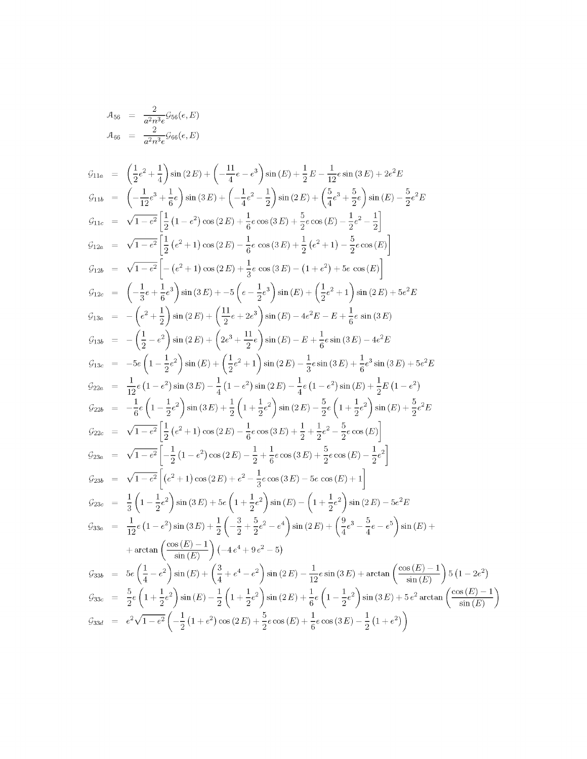$$
A_{56} = \frac{2}{a^2 n^3 e} \mathcal{G}_{56}(e, E)
$$
  

$$
A_{66} = \frac{2}{a^2 n^3 e} \mathcal{G}_{66}(e, E)
$$

$$
G_{11a} = \left(\frac{1}{2}e^{2} + \frac{1}{4}\right)\sin(2E) + \left(-\frac{11}{4}e - e^{3}\right)\sin(E) + \frac{1}{2}E - \frac{1}{12}e\sin(3E) + 2e^{2}E
$$
  
\n
$$
G_{11b} = \left(-\frac{1}{12}e^{3} + \frac{1}{6}e\right)\sin(3E) + \left(-\frac{1}{4}e^{2} - \frac{1}{2}\right)\sin(2E) + \left(\frac{5}{4}e^{3} + \frac{5}{2}e\right)\sin(E) - \frac{5}{2}e^{2}E
$$
  
\n
$$
G_{11c} = \sqrt{1 - e^{2}}\left[\frac{1}{2}\left(1 - e^{2}\right)\cos(2E) + \frac{1}{6}\cos(3E) + \frac{5}{2}\cos(E) - \frac{1}{2}e^{2} - \frac{1}{2}\right]
$$
  
\n
$$
G_{12a} = \sqrt{1 - e^{2}}\left[\frac{1}{2}\left(e^{2} + 1\right)\cos(2E) - \frac{1}{6}e\cos(3E) + \frac{1}{2}\left(e^{2} + 1\right) - \frac{5}{2}\cos(E)\right]
$$
  
\n
$$
G_{12b} = \sqrt{1 - e^{2}}\left[-\left(e^{2} + 1\right)\cos(2E) + \frac{1}{3}e\cos(3E) - \left(1 + e^{2}\right) + 5e\cos(E)\right]
$$
  
\n
$$
G_{12c} = \left(-\frac{1}{3}e + \frac{1}{6}e^{3}\right)\sin(3E) + -5\left(e - \frac{1}{2}e^{3}\right)\sin(E) + \left(\frac{1}{2}e^{2} + 1\right)\sin(2E) + 5e^{2}E
$$
  
\n
$$
G_{13b} = -\left(e^{2} + \frac{1}{2}\right)\sin(2E) + \left(2e^{3} + \frac{11}{2}e\right)\sin(E) - 4e^{2}E - E + \frac{1}{6}e\sin(3E)
$$
  
\n
$$
G_{12b} = -\left(\frac{1}{2} - e^{2}\right)\sin(2E) + \left(2e^{3} + \frac{11}{2}e\right)\sin(E) - E + \
$$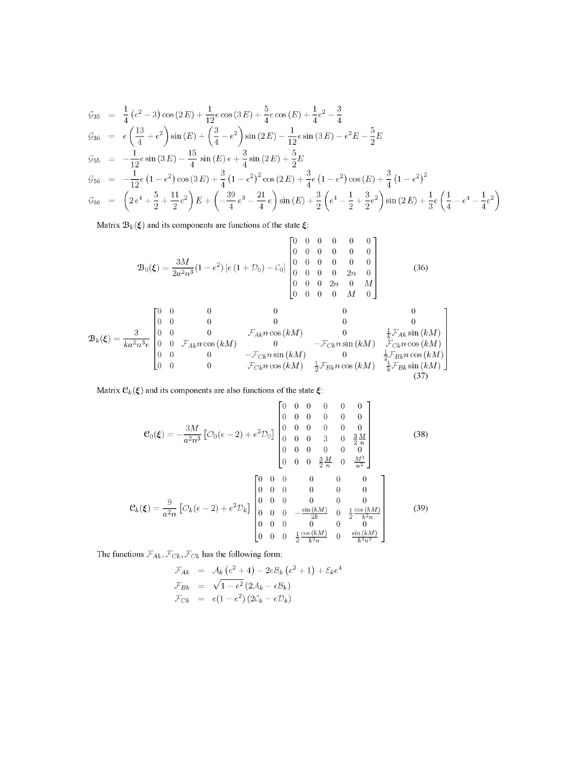$$
G_{35} = \frac{1}{4} (e^2 - 3) \cos(2E) + \frac{1}{12} e \cos(3E) + \frac{5}{4} e \cos(E) + \frac{1}{4} e^2 - \frac{3}{4}
$$
  
\n
$$
G_{36} = e \left(\frac{13}{4} + e^2\right) \sin(E) + \left(\frac{3}{4} - e^2\right) \sin(2E) - \frac{1}{12} e \sin(3E) - e^2 E - \frac{5}{2} E
$$
  
\n
$$
G_{55} = -\frac{1}{12} e \sin(3E) - \frac{15}{4} \sin(E) e + \frac{3}{4} \sin(2E) + \frac{5}{2} E
$$
  
\n
$$
G_{56} = -\frac{1}{12} e \left(1 - e^2\right) \cos(3E) + \frac{3}{4} \left(1 - e^2\right)^2 \cos(2E) + \frac{3}{4} e \left(1 - e^2\right) \cos(E) + \frac{3}{4} \left(1 - e^2\right)^2
$$
  
\n
$$
G_{66} = \left(2 e^4 + \frac{5}{2} + \frac{11}{2} e^2\right) E + \left(-\frac{39}{4} e^3 - \frac{21}{4} e\right) \sin(E) + \frac{3}{2} \left(e^4 - \frac{1}{2} + \frac{3}{2} e^2\right) \sin(2E) + \frac{1}{3} e \left(\frac{1}{4} - e^4 - \frac{1}{4} e^2\right)
$$

Matrix  $B_k(\xi)$  and its components are functions of the state  $\xi$ :

$$
\mathbf{B}_0(\xi) = \frac{3M}{2a^2n^3}(1-e^2) \left[e\left(1+\mathcal{D}_0\right)-\mathcal{C}_0\right] \begin{bmatrix} 0 & 0 & 0 & 0 & 0 & 0 \\ 0 & 0 & 0 & 0 & 0 & 0 \\ 0 & 0 & 0 & 0 & 0 & 0 \\ 0 & 0 & 0 & 0 & 2n & 0 \\ 0 & 0 & 0 & 2n & 0 & M \\ 0 & 0 & 0 & 0 & M & 0 \end{bmatrix}
$$
(36)

$$
\mathbf{B}_{k}(\xi) = \frac{3}{ka^{2}n^{3}e} \begin{bmatrix} 0 & 0 & 0 & 0 & 0 & 0 \\ 0 & 0 & 0 & 0 & 0 & 0 \\ 0 & 0 & 0 & \mathcal{F}_{Ak}n\cos(kM) & 0 & \frac{1}{k}\mathcal{F}_{Ak}\sin(kM) \\ 0 & 0 & \mathcal{F}_{Ak}n\cos(kM) & 0 & -\mathcal{F}_{Ck}n\sin(kM) & \mathcal{F}_{Ck}n\cos(kM) \\ 0 & 0 & 0 & -\mathcal{F}_{Ck}n\sin(kM) & 0 & \frac{1}{2}\mathcal{F}_{Bk}n\cos(kM) \\ 0 & 0 & 0 & \mathcal{F}_{Ck}n\cos(kM) & \frac{1}{2}\mathcal{F}_{Bk}n\cos(kM) & \frac{1}{k}\mathcal{F}_{Bk}\sin(kM) \\ \end{bmatrix}
$$
(37)

Matrix  $\mathcal{C}_k(\xi)$  and its components are also functions of the state  $\xi$ :

$$
\mathcal{C}_{0}(\xi) = -\frac{3M}{a^{2}n^{3}} \left[ \mathcal{O}_{0}(e-2) + e^{2} \mathcal{D}_{0} \right] \begin{bmatrix} 0 & 0 & 0 & 0 & 0 & 0 \\ 0 & 0 & 0 & 0 & 0 & 0 \\ 0 & 0 & 0 & 0 & 0 & 0 \\ 0 & 0 & 0 & 3 & 0 & \frac{3}{2} \frac{M}{n} \\ 0 & 0 & 0 & 0 & 0 & 0 \\ 0 & 0 & 0 & \frac{3}{2} \frac{M}{n} & 0 & \frac{M^{2}}{n^{2}} \end{bmatrix}
$$
(38)  

$$
\mathcal{C}_{k}(\xi) = \frac{9}{a^{2}n} \left[ \mathcal{O}_{k}(e-2) + e^{2} \mathcal{D}_{k} \right] \begin{bmatrix} 0 & 0 & 0 & 0 & 0 & 0 \\ 0 & 0 & 0 & 0 & 0 & 0 \\ 0 & 0 & 0 & 0 & 0 & 0 \\ 0 & 0 & 0 & 0 & 0 & 0 \\ 0 & 0 & 0 & 0 & 0 & 0 \\ 0 & 0 & 0 & 0 & 0 & 0 \\ 0 & 0 & 0 & 0 & 0 & 0 \\ 0 & 0 & 0 & \frac{\sin(kM)}{2k} & 0 & \frac{\sin(kM)}{2k^{2}n} \end{bmatrix}
$$
(39)

The functions  $\mathcal{F}_{Ak}$ ,  $\mathcal{F}_{Ck}$ ,  $\mathcal{F}_{Ck}$  has the following form:

$$
\mathcal{F}_{Ak} = \mathcal{A}_{k} (e^{2} + 4) - 2e\mathcal{B}_{k} (e^{2} + 1) + \mathcal{E}_{k} e^{4}
$$
  
\n
$$
\mathcal{F}_{Bk} = \sqrt{1 - e^{2}} (2\mathcal{A}_{k} - e\mathcal{B}_{k})
$$
  
\n
$$
\mathcal{F}_{Ck} = e(1 - e^{2}) (2\mathcal{C}_{k} - e\mathcal{D}_{k})
$$